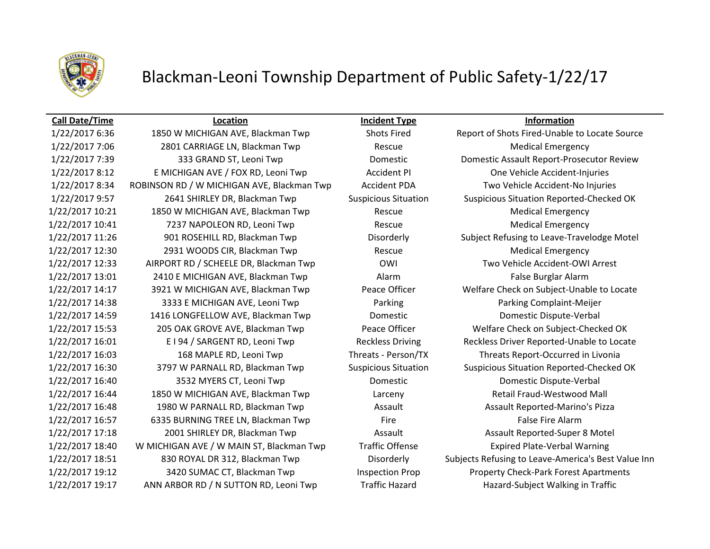

# Blackman-Leoni Township Department of Public Safety-1/22/17

1/22/2017 7:06 2801 CARRIAGE LN, Blackman Twp Rescue Medical Emergency 1/22/2017 8:12 E MICHIGAN AVE / FOX RD, Leoni Twp Accident PI One Vehicle Accident-Injuries 1/22/2017 8:34 ROBINSON RD / W MICHIGAN AVE, Blackman Twp Accident PDA Two Vehicle Accident-No Injuries 1/22/2017 10:21 1850 W MICHIGAN AVE, Blackman Twp Rescue Medical Emergency 1/22/2017 10:41 7237 NAPOLEON RD, Leoni Twp Rescue Rescue Medical Emergency 1/22/2017 12:30 2931 WOODS CIR, Blackman Twp Rescue Medical Emergency 1/22/2017 12:33 AIRPORT RD / SCHEELE DR, Blackman Twp OWI Two Vehicle Accident-OWI Arrest 1/22/2017 13:01 2410 E MICHIGAN AVE, Blackman Twp Alarm Alarm False Burglar Alarm 1/22/2017 14:38 3333 E MICHIGAN AVE, Leoni Twp Parking Parking Complaint-Meijer 1/22/2017 14:59 1416 LONGFELLOW AVE, Blackman Twp Domestic Domestic Dispute-Verbal 1/22/2017 15:53 205 OAK GROVE AVE, Blackman Twp Peace Officer Welfare Check on Subject-Checked OK 1/22/2017 16:03 168 MAPLE RD, Leoni Twp Threats - Person/TX Threats Report-Occurred in Livonia 1/22/2017 16:40 3532 MYERS CT, Leoni Twp Domestic Domestic Dispute-Verbal 1/22/2017 16:44 1850 W MICHIGAN AVE, Blackman Twp Larceny Retail Fraud-Westwood Mall 1/22/2017 16:48 1980 W PARNALL RD, Blackman Twp Assault Assault Reported-Marino's Pizza 1/22/2017 16:57 6335 BURNING TREE LN, Blackman Twp Fire Fire False Fire Alarm 1/22/2017 17:18 2001 SHIRLEY DR, Blackman Twp Assault Assault Assault Assault Reported-Super 8 Motel 1/22/2017 18:40 W MICHIGAN AVE / W MAIN ST, Blackman Twp Traffic Offense Expired Plate-Verbal Warning 1/22/2017 19:12 3420 SUMAC CT, Blackman Twp Inspection Prop Property Check-Park Forest Apartments 1/22/2017 19:17 ANN ARBOR RD / N SUTTON RD, Leoni Twp Traffic Hazard Hazard-Subject Walking in Traffic

**Call Date/Time Location Incident Type Information**

1/22/2017 6:36 1850 W MICHIGAN AVE, Blackman Twp Shots Fired Report of Shots Fired-Unable to Locate Source 1/22/2017 7:39 333 GRAND ST, Leoni Twp Domestic Domestic Assault Report-Prosecutor Review 1/22/2017 9:57 2641 SHIRLEY DR, Blackman Twp Suspicious Situation Suspicious Situation Reported-Checked OK 1/22/2017 11:26 901 ROSEHILL RD, Blackman Twp Disorderly Subject Refusing to Leave-Travelodge Motel 1/22/2017 14:17 3921 W MICHIGAN AVE, Blackman Twp Peace Officer Welfare Check on Subject-Unable to Locate 1/22/2017 16:01 E I 94 / SARGENT RD, Leoni Twp Reckless Driving Reckless Driver Reported-Unable to Locate 1/22/2017 16:30 3797 W PARNALL RD, Blackman Twp Suspicious Situation Suspicious Situation Reported-Checked OK 1/22/2017 18:51 830 ROYAL DR 312, Blackman Twp Disorderly Subjects Refusing to Leave-America's Best Value Inn